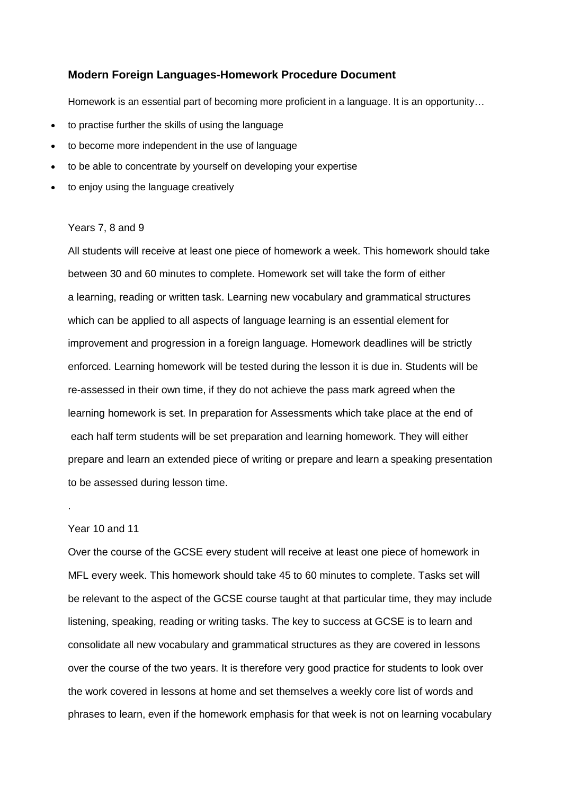## **Modern Foreign Languages-Homework Procedure Document**

Homework is an essential part of becoming more proficient in a language. It is an opportunity...

- to practise further the skills of using the language
- to become more independent in the use of language
- to be able to concentrate by yourself on developing your expertise
- to enjoy using the language creatively

## Years 7, 8 and 9

All students will receive at least one piece of homework a week. This homework should take between 30 and 60 minutes to complete. Homework set will take the form of either a learning, reading or written task. Learning new vocabulary and grammatical structures which can be applied to all aspects of language learning is an essential element for improvement and progression in a foreign language. Homework deadlines will be strictly enforced. Learning homework will be tested during the lesson it is due in. Students will be re-assessed in their own time, if they do not achieve the pass mark agreed when the learning homework is set. In preparation for Assessments which take place at the end of each half term students will be set preparation and learning homework. They will either prepare and learn an extended piece of writing or prepare and learn a speaking presentation to be assessed during lesson time.

## Year 10 and 11

.

Over the course of the GCSE every student will receive at least one piece of homework in MFL every week. This homework should take 45 to 60 minutes to complete. Tasks set will be relevant to the aspect of the GCSE course taught at that particular time, they may include listening, speaking, reading or writing tasks. The key to success at GCSE is to learn and consolidate all new vocabulary and grammatical structures as they are covered in lessons over the course of the two years. It is therefore very good practice for students to look over the work covered in lessons at home and set themselves a weekly core list of words and phrases to learn, even if the homework emphasis for that week is not on learning vocabulary